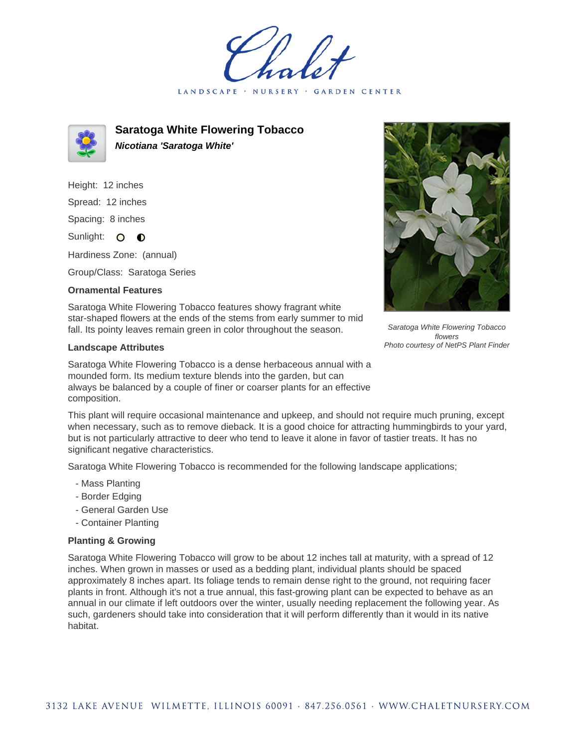LANDSCAPE · GARDEN CENTER



**Saratoga White Flowering Tobacco Nicotiana 'Saratoga White'**

Height: 12 inches Spread: 12 inches Spacing: 8 inches Sunlight: O **O** 

Hardiness Zone: (annual)

Group/Class: Saratoga Series

## **Ornamental Features**

Saratoga White Flowering Tobacco features showy fragrant white star-shaped flowers at the ends of the stems from early summer to mid fall. Its pointy leaves remain green in color throughout the season.

## **Landscape Attributes**

Saratoga White Flowering Tobacco is a dense herbaceous annual with a mounded form. Its medium texture blends into the garden, but can always be balanced by a couple of finer or coarser plants for an effective composition.



Saratoga White Flowering Tobacco flowers Photo courtesy of NetPS Plant Finder

This plant will require occasional maintenance and upkeep, and should not require much pruning, except when necessary, such as to remove dieback. It is a good choice for attracting hummingbirds to your yard, but is not particularly attractive to deer who tend to leave it alone in favor of tastier treats. It has no significant negative characteristics.

Saratoga White Flowering Tobacco is recommended for the following landscape applications;

- Mass Planting
- Border Edging
- General Garden Use
- Container Planting

## **Planting & Growing**

Saratoga White Flowering Tobacco will grow to be about 12 inches tall at maturity, with a spread of 12 inches. When grown in masses or used as a bedding plant, individual plants should be spaced approximately 8 inches apart. Its foliage tends to remain dense right to the ground, not requiring facer plants in front. Although it's not a true annual, this fast-growing plant can be expected to behave as an annual in our climate if left outdoors over the winter, usually needing replacement the following year. As such, gardeners should take into consideration that it will perform differently than it would in its native habitat.